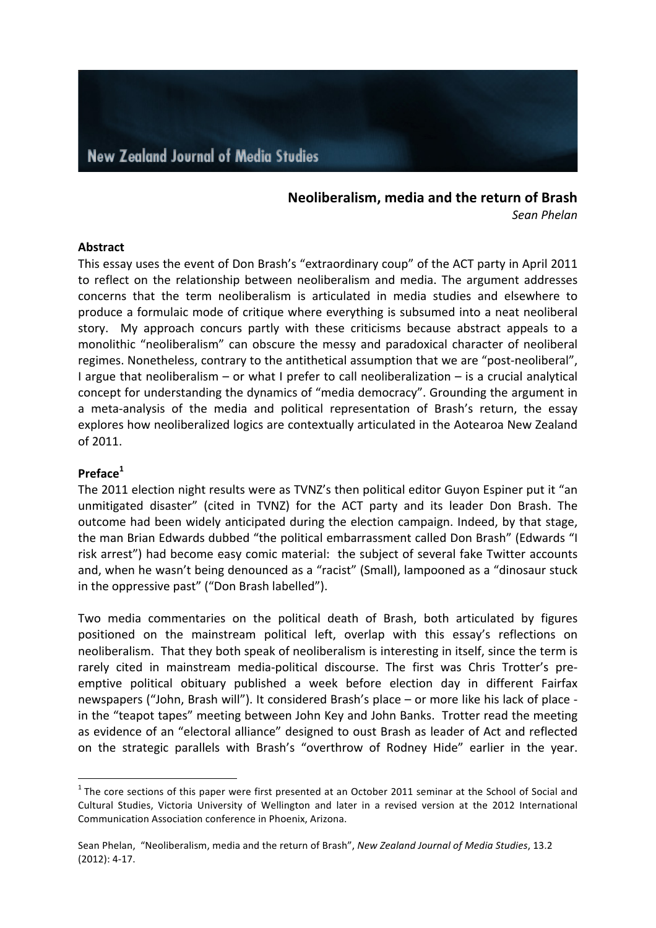#### **Neoliberalism, media and the return of Brash** *Sean Phelan*

#### **Abstract**

This essay uses the event of Don Brash's "extraordinary coup" of the ACT party in April 2011 to reflect on the relationship between neoliberalism and media. The argument addresses concerns that the term neoliberalism is articulated in media studies and elsewhere to produce a formulaic mode of critique where everything is subsumed into a neat neoliberal story. My approach concurs partly with these criticisms because abstract appeals to a monolithic "neoliberalism" can obscure the messy and paradoxical character of neoliberal regimes. Nonetheless, contrary to the antithetical assumption that we are "post-neoliberal", I argue that neoliberalism  $-$  or what I prefer to call neoliberalization  $-$  is a crucial analytical concept for understanding the dynamics of "media democracy". Grounding the argument in a meta-analysis of the media and political representation of Brash's return, the essay explores how neoliberalized logics are contextually articulated in the Aotearoa New Zealand of 2011.

### **Preface1**

The 2011 election night results were as TVNZ's then political editor Guyon Espiner put it "an unmitigated disaster" (cited in TVNZ) for the ACT party and its leader Don Brash. The outcome had been widely anticipated during the election campaign. Indeed, by that stage, the man Brian Edwards dubbed "the political embarrassment called Don Brash" (Edwards "I risk arrest") had become easy comic material: the subject of several fake Twitter accounts and, when he wasn't being denounced as a "racist" (Small), lampooned as a "dinosaur stuck in the oppressive past" ("Don Brash labelled").

Two media commentaries on the political death of Brash, both articulated by figures positioned on the mainstream political left, overlap with this essay's reflections on neoliberalism. That they both speak of neoliberalism is interesting in itself, since the term is rarely cited in mainstream media-political discourse. The first was Chris Trotter's preemptive political obituary published a week before election day in different Fairfax newspapers ("John, Brash will"). It considered Brash's place – or more like his lack of place in the "teapot tapes" meeting between John Key and John Banks. Trotter read the meeting as evidence of an "electoral alliance" designed to oust Brash as leader of Act and reflected on the strategic parallels with Brash's "overthrow of Rodney Hide" earlier in the year.

 $1$  The core sections of this paper were first presented at an October 2011 seminar at the School of Social and Cultural Studies, Victoria University of Wellington and later in a revised version at the 2012 International Communication Association conference in Phoenix, Arizona.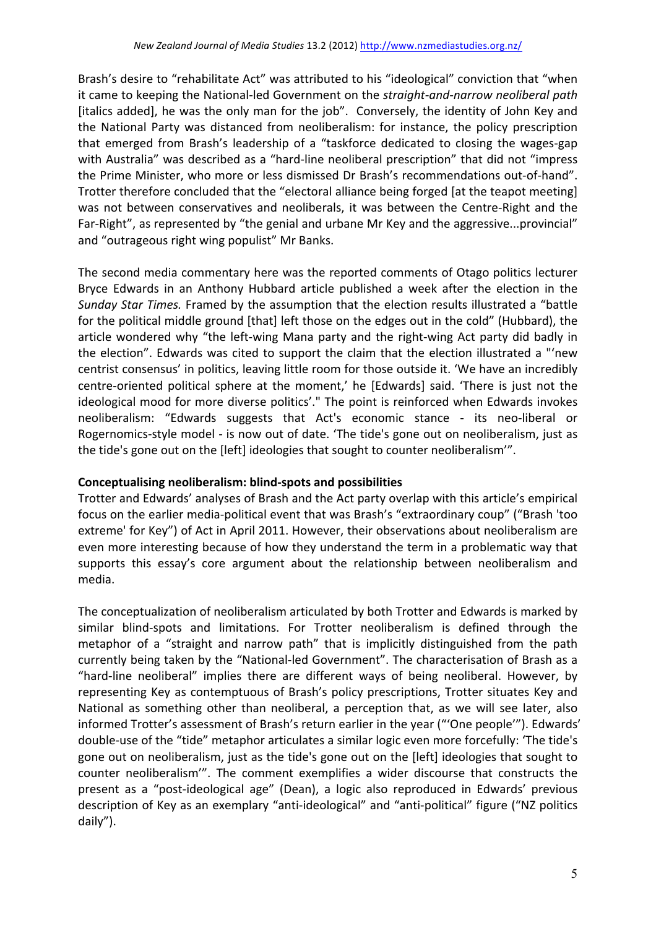Brash's desire to "rehabilitate Act" was attributed to his "ideological" conviction that "when it came to keeping the National-led Government on the *straight-and-narrow neoliberal path* [italics added], he was the only man for the job". Conversely, the identity of John Key and the National Party was distanced from neoliberalism: for instance, the policy prescription that emerged from Brash's leadership of a "taskforce dedicated to closing the wages-gap with Australia" was described as a "hard-line neoliberal prescription" that did not "impress the Prime Minister, who more or less dismissed Dr Brash's recommendations out-of-hand". Trotter therefore concluded that the "electoral alliance being forged [at the teapot meeting] was not between conservatives and neoliberals, it was between the Centre-Right and the Far-Right", as represented by "the genial and urbane Mr Key and the aggressive...provincial" and "outrageous right wing populist" Mr Banks.

The second media commentary here was the reported comments of Otago politics lecturer Bryce Edwards in an Anthony Hubbard article published a week after the election in the Sunday Star Times. Framed by the assumption that the election results illustrated a "battle for the political middle ground [that] left those on the edges out in the cold" (Hubbard), the article wondered why "the left-wing Mana party and the right-wing Act party did badly in the election". Edwards was cited to support the claim that the election illustrated a "'new centrist consensus' in politics, leaving little room for those outside it. 'We have an incredibly centre-oriented political sphere at the moment,' he [Edwards] said. 'There is just not the ideological mood for more diverse politics'." The point is reinforced when Edwards invokes neoliberalism: "Edwards suggests that Act's economic stance - its neo-liberal or Rogernomics-style model - is now out of date. 'The tide's gone out on neoliberalism, just as the tide's gone out on the [left] ideologies that sought to counter neoliberalism".

# **Conceptualising neoliberalism: blind-spots and possibilities**

Trotter and Edwards' analyses of Brash and the Act party overlap with this article's empirical focus on the earlier media-political event that was Brash's "extraordinary coup" ("Brash 'too extreme' for Key") of Act in April 2011. However, their observations about neoliberalism are even more interesting because of how they understand the term in a problematic way that supports this essay's core argument about the relationship between neoliberalism and media. 

The conceptualization of neoliberalism articulated by both Trotter and Edwards is marked by similar blind-spots and limitations. For Trotter neoliberalism is defined through the metaphor of a "straight and narrow path" that is implicitly distinguished from the path currently being taken by the "National-led Government". The characterisation of Brash as a "hard-line neoliberal" implies there are different ways of being neoliberal. However, by representing Key as contemptuous of Brash's policy prescriptions, Trotter situates Key and National as something other than neoliberal, a perception that, as we will see later, also informed Trotter's assessment of Brash's return earlier in the year ("'One people'"). Edwards' double-use of the "tide" metaphor articulates a similar logic even more forcefully: 'The tide's gone out on neoliberalism, just as the tide's gone out on the [left] ideologies that sought to counter neoliberalism". The comment exemplifies a wider discourse that constructs the present as a "post-ideological age" (Dean), a logic also reproduced in Edwards' previous description of Key as an exemplary "anti-ideological" and "anti-political" figure ("NZ politics daily").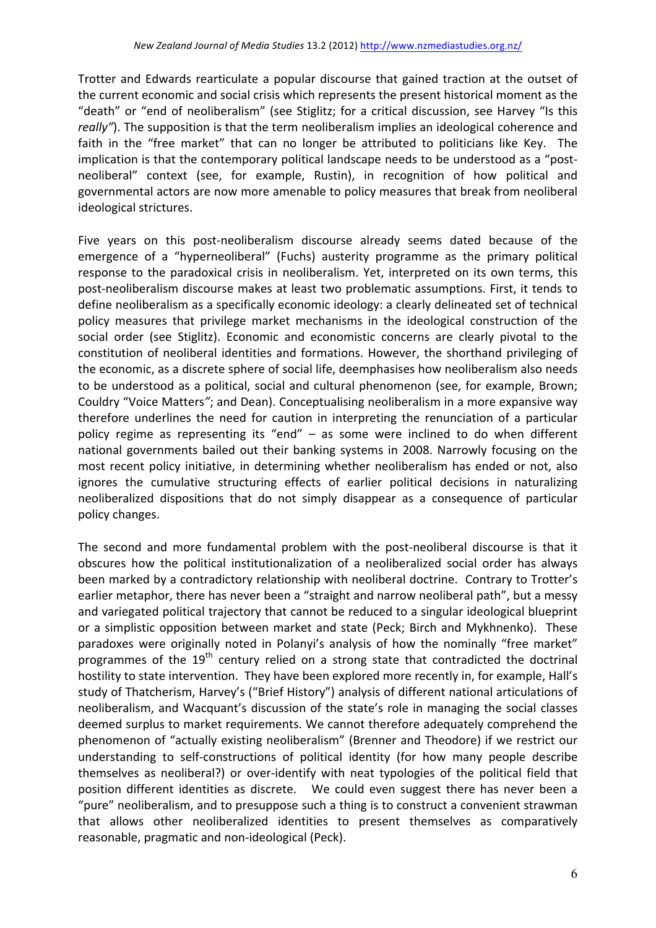Trotter and Edwards rearticulate a popular discourse that gained traction at the outset of the current economic and social crisis which represents the present historical moment as the "death" or "end of neoliberalism" (see Stiglitz; for a critical discussion, see Harvey "Is this *really"*). The supposition is that the term neoliberalism implies an ideological coherence and faith in the "free market" that can no longer be attributed to politicians like Key. The implication is that the contemporary political landscape needs to be understood as a "postneoliberal" context (see, for example, Rustin), in recognition of how political and governmental actors are now more amenable to policy measures that break from neoliberal ideological strictures.

Five years on this post-neoliberalism discourse already seems dated because of the emergence of a "hyperneoliberal" (Fuchs) austerity programme as the primary political response to the paradoxical crisis in neoliberalism. Yet, interpreted on its own terms, this post-neoliberalism discourse makes at least two problematic assumptions. First, it tends to define neoliberalism as a specifically economic ideology: a clearly delineated set of technical policy measures that privilege market mechanisms in the ideological construction of the social order (see Stiglitz). Economic and economistic concerns are clearly pivotal to the constitution of neoliberal identities and formations. However, the shorthand privileging of the economic, as a discrete sphere of social life, deemphasises how neoliberalism also needs to be understood as a political, social and cultural phenomenon (see, for example, Brown; Couldry "Voice Matters"; and Dean). Conceptualising neoliberalism in a more expansive way therefore underlines the need for caution in interpreting the renunciation of a particular policy regime as representing its "end"  $-$  as some were inclined to do when different national governments bailed out their banking systems in 2008. Narrowly focusing on the most recent policy initiative, in determining whether neoliberalism has ended or not, also ignores the cumulative structuring effects of earlier political decisions in naturalizing neoliberalized dispositions that do not simply disappear as a consequence of particular policy changes. 

The second and more fundamental problem with the post-neoliberal discourse is that it obscures how the political institutionalization of a neoliberalized social order has always been marked by a contradictory relationship with neoliberal doctrine. Contrary to Trotter's earlier metaphor, there has never been a "straight and narrow neoliberal path", but a messy and variegated political trajectory that cannot be reduced to a singular ideological blueprint or a simplistic opposition between market and state (Peck; Birch and Mykhnenko). These paradoxes were originally noted in Polanyi's analysis of how the nominally "free market" programmes of the  $19<sup>th</sup>$  century relied on a strong state that contradicted the doctrinal hostility to state intervention. They have been explored more recently in, for example, Hall's study of Thatcherism, Harvey's ("Brief History") analysis of different national articulations of neoliberalism, and Wacquant's discussion of the state's role in managing the social classes deemed surplus to market requirements. We cannot therefore adequately comprehend the phenomenon of "actually existing neoliberalism" (Brenner and Theodore) if we restrict our understanding to self-constructions of political identity (for how many people describe themselves as neoliberal?) or over-identify with neat typologies of the political field that position different identities as discrete. We could even suggest there has never been a "pure" neoliberalism, and to presuppose such a thing is to construct a convenient strawman that allows other neoliberalized identities to present themselves as comparatively reasonable, pragmatic and non-ideological (Peck).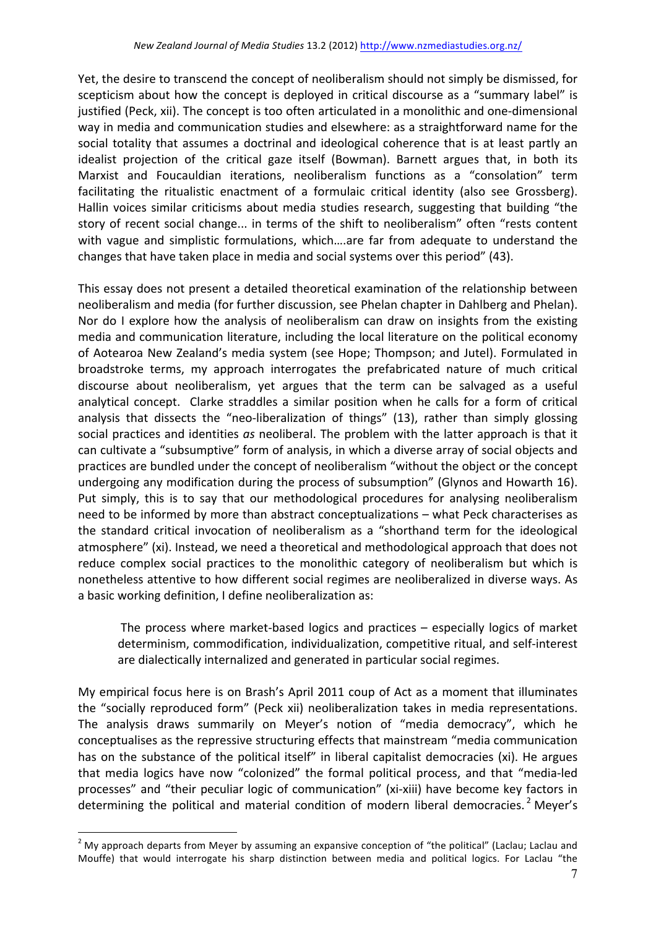Yet, the desire to transcend the concept of neoliberalism should not simply be dismissed, for scepticism about how the concept is deployed in critical discourse as a "summary label" is justified (Peck, xii). The concept is too often articulated in a monolithic and one-dimensional way in media and communication studies and elsewhere: as a straightforward name for the social totality that assumes a doctrinal and ideological coherence that is at least partly an idealist projection of the critical gaze itself (Bowman). Barnett argues that, in both its Marxist and Foucauldian iterations, neoliberalism functions as a "consolation" term facilitating the ritualistic enactment of a formulaic critical identity (also see Grossberg). Hallin voices similar criticisms about media studies research, suggesting that building "the story of recent social change... in terms of the shift to neoliberalism" often "rests content with vague and simplistic formulations, which....are far from adequate to understand the changes that have taken place in media and social systems over this period" (43).

This essay does not present a detailed theoretical examination of the relationship between neoliberalism and media (for further discussion, see Phelan chapter in Dahlberg and Phelan). Nor do I explore how the analysis of neoliberalism can draw on insights from the existing media and communication literature, including the local literature on the political economy of Aotearoa New Zealand's media system (see Hope; Thompson; and Jutel). Formulated in broadstroke terms, my approach interrogates the prefabricated nature of much critical discourse about neoliberalism, yet argues that the term can be salvaged as a useful analytical concept. Clarke straddles a similar position when he calls for a form of critical analysis that dissects the "neo-liberalization of things" (13), rather than simply glossing social practices and identities as neoliberal. The problem with the latter approach is that it can cultivate a "subsumptive" form of analysis, in which a diverse array of social objects and practices are bundled under the concept of neoliberalism "without the object or the concept undergoing any modification during the process of subsumption" (Glynos and Howarth 16). Put simply, this is to say that our methodological procedures for analysing neoliberalism need to be informed by more than abstract conceptualizations - what Peck characterises as the standard critical invocation of neoliberalism as a "shorthand term for the ideological atmosphere" (xi). Instead, we need a theoretical and methodological approach that does not reduce complex social practices to the monolithic category of neoliberalism but which is nonetheless attentive to how different social regimes are neoliberalized in diverse ways. As a basic working definition, I define neoliberalization as:

The process where market-based logics and practices  $-$  especially logics of market determinism, commodification, individualization, competitive ritual, and self-interest are dialectically internalized and generated in particular social regimes.

My empirical focus here is on Brash's April 2011 coup of Act as a moment that illuminates the "socially reproduced form" (Peck xii) neoliberalization takes in media representations. The analysis draws summarily on Meyer's notion of "media democracy", which he conceptualises as the repressive structuring effects that mainstream "media communication has on the substance of the political itself" in liberal capitalist democracies (xi). He argues that media logics have now "colonized" the formal political process, and that "media-led processes" and "their peculiar logic of communication" (xi-xiii) have become key factors in determining the political and material condition of modern liberal democracies.<sup>2</sup> Mever's

<sup>&</sup>lt;sup>2</sup> My approach departs from Meyer by assuming an expansive conception of "the political" (Laclau; Laclau and Mouffe) that would interrogate his sharp distinction between media and political logics. For Laclau "the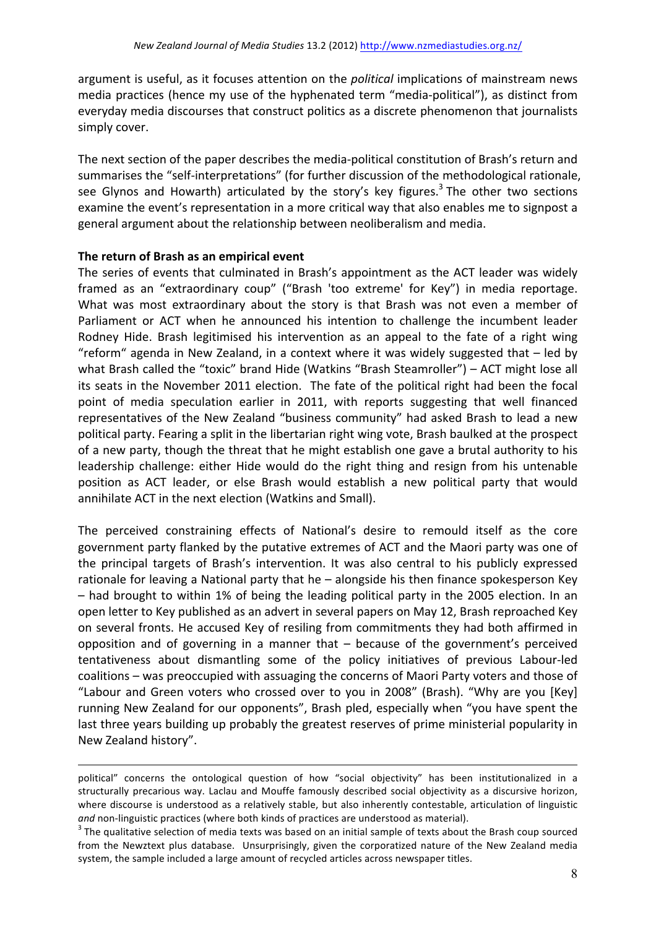argument is useful, as it focuses attention on the *political* implications of mainstream news media practices (hence my use of the hyphenated term "media-political"), as distinct from everyday media discourses that construct politics as a discrete phenomenon that journalists simply cover.

The next section of the paper describes the media-political constitution of Brash's return and summarises the "self-interpretations" (for further discussion of the methodological rationale, see Glynos and Howarth) articulated by the story's key figures.<sup>3</sup> The other two sections examine the event's representation in a more critical way that also enables me to signpost a general argument about the relationship between neoliberalism and media.

### The return of Brash as an empirical event

<u>.</u>

The series of events that culminated in Brash's appointment as the ACT leader was widely framed as an "extraordinary coup" ("Brash 'too extreme' for Key") in media reportage. What was most extraordinary about the story is that Brash was not even a member of Parliament or ACT when he announced his intention to challenge the incumbent leader Rodney Hide. Brash legitimised his intervention as an appeal to the fate of a right wing "reform" agenda in New Zealand, in a context where it was widely suggested that  $-$  led by what Brash called the "toxic" brand Hide (Watkins "Brash Steamroller") – ACT might lose all its seats in the November 2011 election. The fate of the political right had been the focal point of media speculation earlier in 2011, with reports suggesting that well financed representatives of the New Zealand "business community" had asked Brash to lead a new political party. Fearing a split in the libertarian right wing vote, Brash baulked at the prospect of a new party, though the threat that he might establish one gave a brutal authority to his leadership challenge: either Hide would do the right thing and resign from his untenable position as ACT leader, or else Brash would establish a new political party that would annihilate ACT in the next election (Watkins and Small).

The perceived constraining effects of National's desire to remould itself as the core government party flanked by the putative extremes of ACT and the Maori party was one of the principal targets of Brash's intervention. It was also central to his publicly expressed rationale for leaving a National party that  $he$  – alongside his then finance spokesperson Key – had brought to within 1% of being the leading political party in the 2005 election. In an open letter to Key published as an advert in several papers on May 12, Brash reproached Key on several fronts. He accused Key of resiling from commitments they had both affirmed in opposition and of governing in a manner that  $-$  because of the government's perceived tentativeness about dismantling some of the policy initiatives of previous Labour-led coalitions – was preoccupied with assuaging the concerns of Maori Party voters and those of "Labour and Green voters who crossed over to you in 2008" (Brash). "Why are you [Key] running New Zealand for our opponents", Brash pled, especially when "you have spent the last three years building up probably the greatest reserves of prime ministerial popularity in New Zealand history".

political" concerns the ontological question of how "social objectivity" has been institutionalized in a structurally precarious way. Laclau and Mouffe famously described social objectivity as a discursive horizon, where discourse is understood as a relatively stable, but also inherently contestable, articulation of linguistic *and* non-linguistic practices (where both kinds of practices are understood as material).<br><sup>3</sup> The qualitative selection of media texts was based on an initial sample of texts about the Brash coup sourced

from the Newztext plus database. Unsurprisingly, given the corporatized nature of the New Zealand media system, the sample included a large amount of recycled articles across newspaper titles.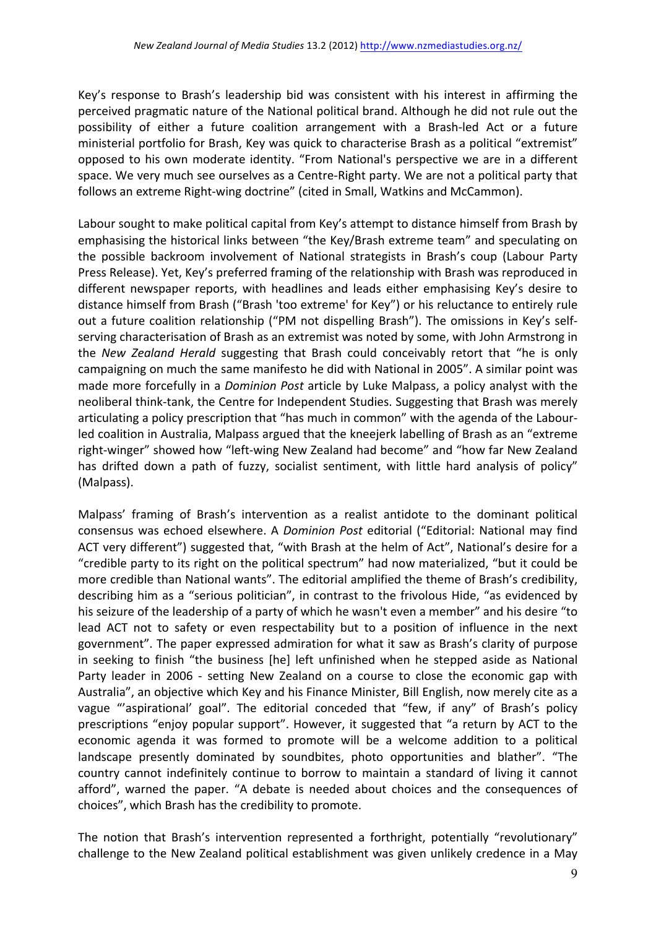Key's response to Brash's leadership bid was consistent with his interest in affirming the perceived pragmatic nature of the National political brand. Although he did not rule out the possibility of either a future coalition arrangement with a Brash-led Act or a future ministerial portfolio for Brash, Key was quick to characterise Brash as a political "extremist" opposed to his own moderate identity. "From National's perspective we are in a different space. We very much see ourselves as a Centre-Right party. We are not a political party that follows an extreme Right-wing doctrine" (cited in Small, Watkins and McCammon).

Labour sought to make political capital from Key's attempt to distance himself from Brash by emphasising the historical links between "the Key/Brash extreme team" and speculating on the possible backroom involvement of National strategists in Brash's coup (Labour Party Press Release). Yet, Key's preferred framing of the relationship with Brash was reproduced in different newspaper reports, with headlines and leads either emphasising Key's desire to distance himself from Brash ("Brash 'too extreme' for Key") or his reluctance to entirely rule out a future coalition relationship ("PM not dispelling Brash"). The omissions in Key's selfserving characterisation of Brash as an extremist was noted by some, with John Armstrong in the *New Zealand Herald* suggesting that Brash could conceivably retort that "he is only campaigning on much the same manifesto he did with National in 2005". A similar point was made more forcefully in a *Dominion Post* article by Luke Malpass, a policy analyst with the neoliberal think-tank, the Centre for Independent Studies. Suggesting that Brash was merely articulating a policy prescription that "has much in common" with the agenda of the Labourled coalition in Australia, Malpass argued that the kneejerk labelling of Brash as an "extreme" right-winger" showed how "left-wing New Zealand had become" and "how far New Zealand has drifted down a path of fuzzy, socialist sentiment, with little hard analysis of policy" (Malpass). 

Malpass' framing of Brash's intervention as a realist antidote to the dominant political consensus was echoed elsewhere. A *Dominion Post* editorial ("Editorial: National may find ACT very different") suggested that, "with Brash at the helm of Act", National's desire for a "credible party to its right on the political spectrum" had now materialized, "but it could be more credible than National wants". The editorial amplified the theme of Brash's credibility, describing him as a "serious politician", in contrast to the frivolous Hide, "as evidenced by his seizure of the leadership of a party of which he wasn't even a member" and his desire "to lead ACT not to safety or even respectability but to a position of influence in the next government". The paper expressed admiration for what it saw as Brash's clarity of purpose in seeking to finish "the business [he] left unfinished when he stepped aside as National Party leader in 2006 - setting New Zealand on a course to close the economic gap with Australia", an objective which Key and his Finance Minister, Bill English, now merely cite as a vague "'aspirational' goal". The editorial conceded that "few, if any" of Brash's policy prescriptions "enjoy popular support". However, it suggested that "a return by ACT to the economic agenda it was formed to promote will be a welcome addition to a political landscape presently dominated by soundbites, photo opportunities and blather". "The country cannot indefinitely continue to borrow to maintain a standard of living it cannot afford", warned the paper. "A debate is needed about choices and the consequences of choices", which Brash has the credibility to promote.

The notion that Brash's intervention represented a forthright, potentially "revolutionary" challenge to the New Zealand political establishment was given unlikely credence in a May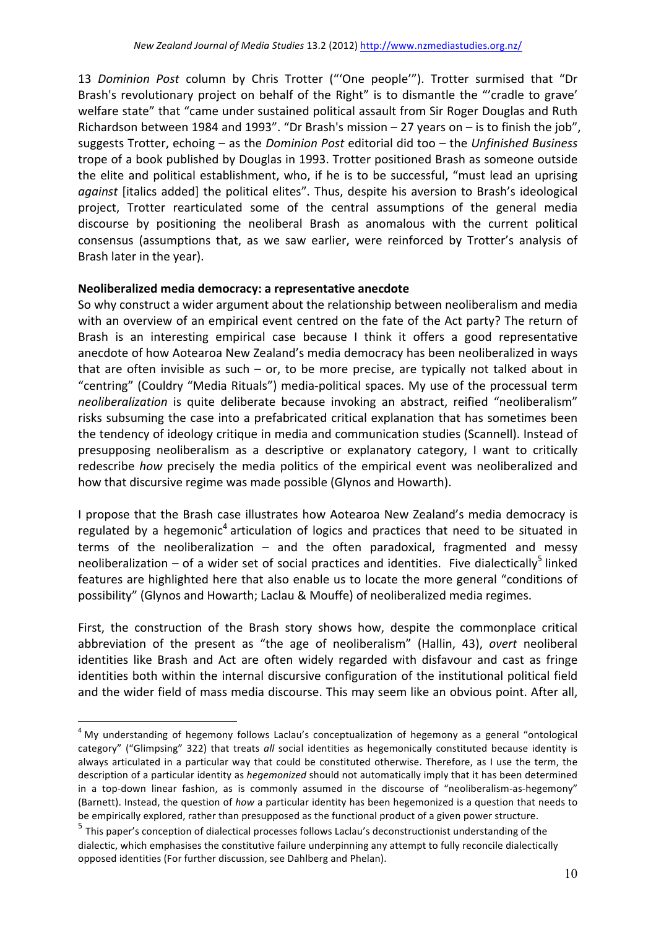13 *Dominion Post* column by Chris Trotter ("'One people'"). Trotter surmised that "Dr Brash's revolutionary project on behalf of the Right" is to dismantle the "'cradle to grave' welfare state" that "came under sustained political assault from Sir Roger Douglas and Ruth Richardson between 1984 and 1993". "Dr Brash's mission  $- 27$  years on  $-$  is to finish the job", suggests Trotter, echoing – as the *Dominion Post* editorial did too – the *Unfinished Business* trope of a book published by Douglas in 1993. Trotter positioned Brash as someone outside the elite and political establishment, who, if he is to be successful, "must lead an uprising *against* [italics added] the political elites". Thus, despite his aversion to Brash's ideological project, Trotter rearticulated some of the central assumptions of the general media discourse by positioning the neoliberal Brash as anomalous with the current political consensus (assumptions that, as we saw earlier, were reinforced by Trotter's analysis of Brash later in the year).

## **Neoliberalized media democracy: a representative anecdote**

So why construct a wider argument about the relationship between neoliberalism and media with an overview of an empirical event centred on the fate of the Act party? The return of Brash is an interesting empirical case because I think it offers a good representative anecdote of how Aotearoa New Zealand's media democracy has been neoliberalized in ways that are often invisible as such – or, to be more precise, are typically not talked about in "centring" (Couldry "Media Rituals") media-political spaces. My use of the processual term *neoliberalization* is quite deliberate because invoking an abstract, reified "neoliberalism" risks subsuming the case into a prefabricated critical explanation that has sometimes been the tendency of ideology critique in media and communication studies (Scannell). Instead of presupposing neoliberalism as a descriptive or explanatory category, I want to critically redescribe *how* precisely the media politics of the empirical event was neoliberalized and how that discursive regime was made possible (Glynos and Howarth).

I propose that the Brash case illustrates how Aotearoa New Zealand's media democracy is regulated by a hegemonic<sup>4</sup> articulation of logics and practices that need to be situated in terms of the neoliberalization  $-$  and the often paradoxical, fragmented and messy neoliberalization – of a wider set of social practices and identities. Five dialectically<sup>5</sup> linked features are highlighted here that also enable us to locate the more general "conditions of possibility" (Glynos and Howarth; Laclau & Mouffe) of neoliberalized media regimes.

First, the construction of the Brash story shows how, despite the commonplace critical abbreviation of the present as "the age of neoliberalism" (Hallin, 43), overt neoliberal identities like Brash and Act are often widely regarded with disfavour and cast as fringe identities both within the internal discursive configuration of the institutional political field and the wider field of mass media discourse. This may seem like an obvious point. After all,

 $4$  My understanding of hegemony follows Laclau's conceptualization of hegemony as a general "ontological category" ("Glimpsing" 322) that treats all social identities as hegemonically constituted because identity is always articulated in a particular way that could be constituted otherwise. Therefore, as I use the term, the description of a particular identity as *hegemonized* should not automatically imply that it has been determined in a top-down linear fashion, as is commonly assumed in the discourse of "neoliberalism-as-hegemony" (Barnett). Instead, the question of *how* a particular identity has been hegemonized is a question that needs to be empirically explored, rather than presupposed as the functional product of a given power structure.

 $<sup>5</sup>$  This paper's conception of dialectical processes follows Laclau's deconstructionist understanding of the</sup> dialectic, which emphasises the constitutive failure underpinning any attempt to fully reconcile dialectically opposed identities (For further discussion, see Dahlberg and Phelan).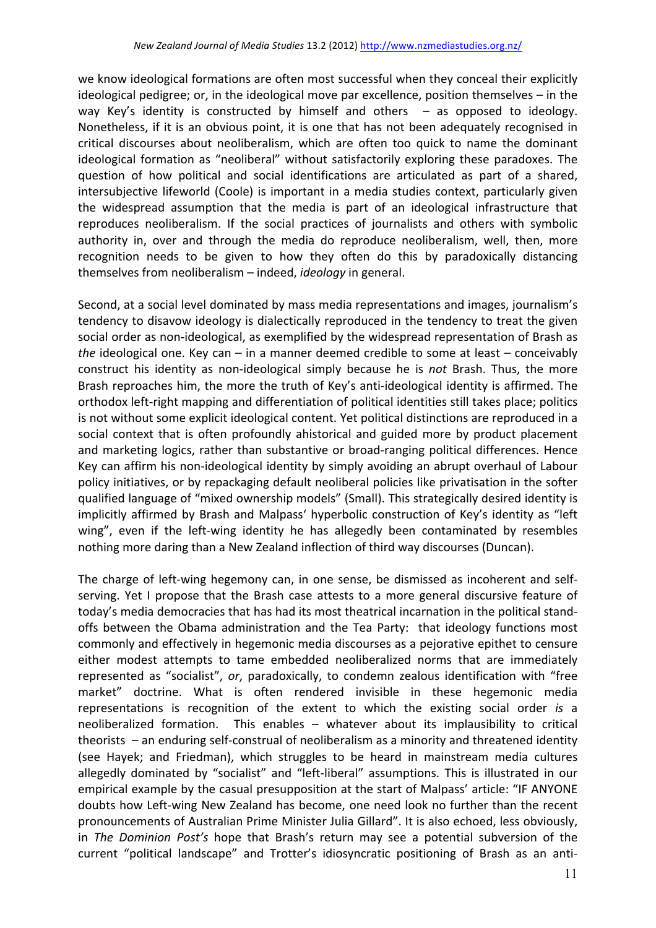we know ideological formations are often most successful when they conceal their explicitly ideological pedigree; or, in the ideological move par excellence, position themselves - in the way Key's identity is constructed by himself and others  $-$  as opposed to ideology. Nonetheless, if it is an obvious point, it is one that has not been adequately recognised in critical discourses about neoliberalism, which are often too quick to name the dominant ideological formation as "neoliberal" without satisfactorily exploring these paradoxes. The question of how political and social identifications are articulated as part of a shared, intersubjective lifeworld (Coole) is important in a media studies context, particularly given the widespread assumption that the media is part of an ideological infrastructure that reproduces neoliberalism. If the social practices of journalists and others with symbolic authority in, over and through the media do reproduce neoliberalism, well, then, more recognition needs to be given to how they often do this by paradoxically distancing themselves from neoliberalism – indeed, *ideology* in general.

Second, at a social level dominated by mass media representations and images, journalism's tendency to disavow ideology is dialectically reproduced in the tendency to treat the given social order as non-ideological, as exemplified by the widespread representation of Brash as *the* ideological one. Key can – in a manner deemed credible to some at least – conceivably construct his identity as non-ideological simply because he is *not* Brash. Thus, the more Brash reproaches him, the more the truth of Key's anti-ideological identity is affirmed. The orthodox left-right mapping and differentiation of political identities still takes place; politics is not without some explicit ideological content. Yet political distinctions are reproduced in a social context that is often profoundly ahistorical and guided more by product placement and marketing logics, rather than substantive or broad-ranging political differences. Hence Key can affirm his non-ideological identity by simply avoiding an abrupt overhaul of Labour policy initiatives, or by repackaging default neoliberal policies like privatisation in the softer qualified language of "mixed ownership models" (Small). This strategically desired identity is implicitly affirmed by Brash and Malpass' hyperbolic construction of Key's identity as "left wing", even if the left-wing identity he has allegedly been contaminated by resembles nothing more daring than a New Zealand inflection of third way discourses (Duncan).

The charge of left-wing hegemony can, in one sense, be dismissed as incoherent and selfserving. Yet I propose that the Brash case attests to a more general discursive feature of today's media democracies that has had its most theatrical incarnation in the political standoffs between the Obama administration and the Tea Party: that ideology functions most commonly and effectively in hegemonic media discourses as a pejorative epithet to censure either modest attempts to tame embedded neoliberalized norms that are immediately represented as "socialist", or, paradoxically, to condemn zealous identification with "free market" doctrine. What is often rendered invisible in these hegemonic media representations is recognition of the extent to which the existing social order *is* a neoliberalized formation. This enables - whatever about its implausibility to critical theorists  $-$  an enduring self-construal of neoliberalism as a minority and threatened identity (see Hayek; and Friedman), which struggles to be heard in mainstream media cultures allegedly dominated by "socialist" and "left-liberal" assumptions. This is illustrated in our empirical example by the casual presupposition at the start of Malpass' article: "IF ANYONE doubts how Left-wing New Zealand has become, one need look no further than the recent pronouncements of Australian Prime Minister Julia Gillard". It is also echoed, less obviously, in *The Dominion Post's* hope that Brash's return may see a potential subversion of the current "political landscape" and Trotter's idiosyncratic positioning of Brash as an anti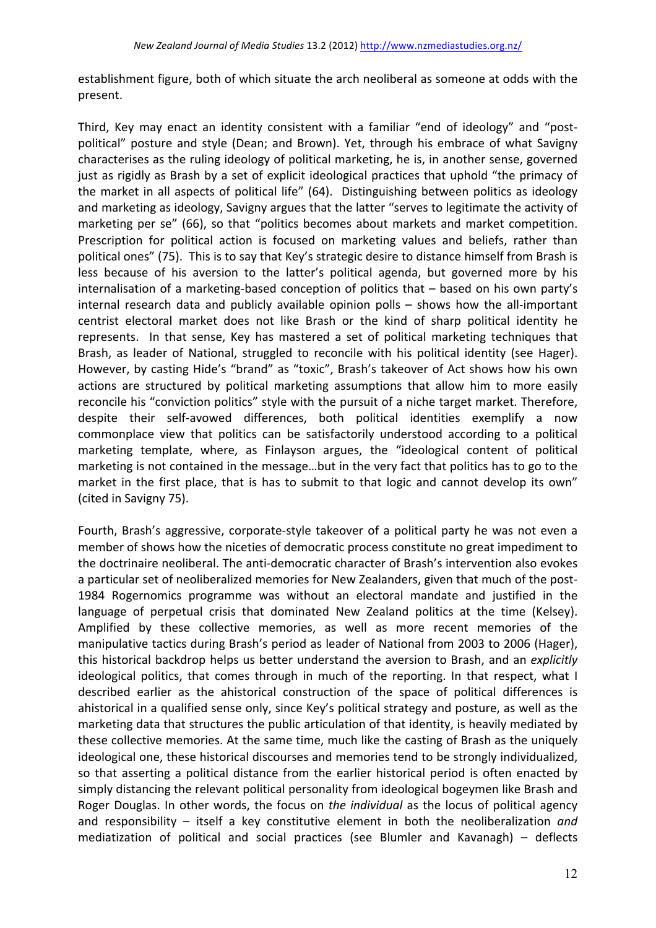establishment figure, both of which situate the arch neoliberal as someone at odds with the present.

Third, Key may enact an identity consistent with a familiar "end of ideology" and "postpolitical" posture and style (Dean; and Brown). Yet, through his embrace of what Savigny characterises as the ruling ideology of political marketing, he is, in another sense, governed just as rigidly as Brash by a set of explicit ideological practices that uphold "the primacy of the market in all aspects of political life" (64). Distinguishing between politics as ideology and marketing as ideology, Savigny argues that the latter "serves to legitimate the activity of marketing per se" (66), so that "politics becomes about markets and market competition. Prescription for political action is focused on marketing values and beliefs, rather than political ones" (75). This is to say that Key's strategic desire to distance himself from Brash is less because of his aversion to the latter's political agenda, but governed more by his internalisation of a marketing-based conception of politics that  $-$  based on his own party's internal research data and publicly available opinion polls  $-$  shows how the all-important centrist electoral market does not like Brash or the kind of sharp political identity he represents. In that sense, Key has mastered a set of political marketing techniques that Brash, as leader of National, struggled to reconcile with his political identity (see Hager). However, by casting Hide's "brand" as "toxic", Brash's takeover of Act shows how his own actions are structured by political marketing assumptions that allow him to more easily reconcile his "conviction politics" style with the pursuit of a niche target market. Therefore, despite their self-avowed differences, both political identities exemplify a now commonplace view that politics can be satisfactorily understood according to a political marketing template, where, as Finlayson argues, the "ideological content of political marketing is not contained in the message...but in the very fact that politics has to go to the market in the first place, that is has to submit to that logic and cannot develop its own" (cited in Savigny 75).

Fourth, Brash's aggressive, corporate-style takeover of a political party he was not even a member of shows how the niceties of democratic process constitute no great impediment to the doctrinaire neoliberal. The anti-democratic character of Brash's intervention also evokes a particular set of neoliberalized memories for New Zealanders, given that much of the post-1984 Rogernomics programme was without an electoral mandate and justified in the language of perpetual crisis that dominated New Zealand politics at the time (Kelsey). Amplified by these collective memories, as well as more recent memories of the manipulative tactics during Brash's period as leader of National from 2003 to 2006 (Hager), this historical backdrop helps us better understand the aversion to Brash, and an *explicitly* ideological politics, that comes through in much of the reporting. In that respect, what I described earlier as the ahistorical construction of the space of political differences is ahistorical in a qualified sense only, since Key's political strategy and posture, as well as the marketing data that structures the public articulation of that identity, is heavily mediated by these collective memories. At the same time, much like the casting of Brash as the uniquely ideological one, these historical discourses and memories tend to be strongly individualized, so that asserting a political distance from the earlier historical period is often enacted by simply distancing the relevant political personality from ideological bogeymen like Brash and Roger Douglas. In other words, the focus on *the individual* as the locus of political agency and responsibility – itself a key constitutive element in both the neoliberalization *and* mediatization of political and social practices (see Blumler and Kavanagh) – deflects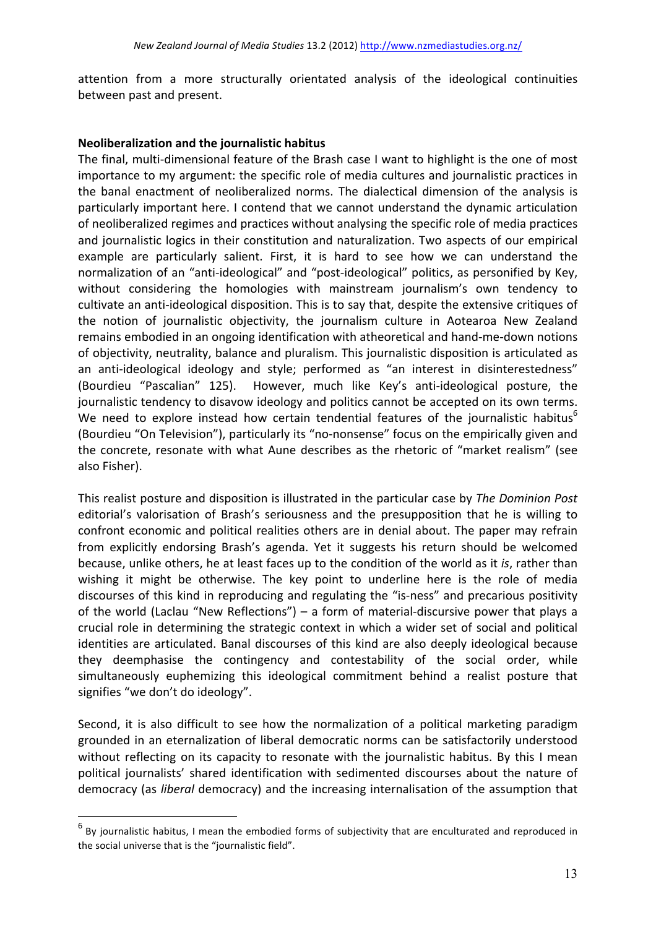attention from a more structurally orientated analysis of the ideological continuities between past and present.

#### **Neoliberalization and the journalistic habitus**

The final, multi-dimensional feature of the Brash case I want to highlight is the one of most importance to my argument: the specific role of media cultures and journalistic practices in the banal enactment of neoliberalized norms. The dialectical dimension of the analysis is particularly important here. I contend that we cannot understand the dynamic articulation of neoliberalized regimes and practices without analysing the specific role of media practices and journalistic logics in their constitution and naturalization. Two aspects of our empirical example are particularly salient. First, it is hard to see how we can understand the normalization of an "anti-ideological" and "post-ideological" politics, as personified by Key, without considering the homologies with mainstream journalism's own tendency to cultivate an anti-ideological disposition. This is to say that, despite the extensive critiques of the notion of journalistic objectivity, the journalism culture in Aotearoa New Zealand remains embodied in an ongoing identification with atheoretical and hand-me-down notions of objectivity, neutrality, balance and pluralism. This journalistic disposition is articulated as an anti-ideological ideology and style; performed as "an interest in disinterestedness" (Bourdieu "Pascalian" 125). However, much like Key's anti-ideological posture, the journalistic tendency to disavow ideology and politics cannot be accepted on its own terms. We need to explore instead how certain tendential features of the journalistic habitus<sup>6</sup> (Bourdieu "On Television"), particularly its "no-nonsense" focus on the empirically given and the concrete, resonate with what Aune describes as the rhetoric of "market realism" (see also Fisher). 

This realist posture and disposition is illustrated in the particular case by *The Dominion Post* editorial's valorisation of Brash's seriousness and the presupposition that he is willing to confront economic and political realities others are in denial about. The paper may refrain from explicitly endorsing Brash's agenda. Yet it suggests his return should be welcomed because, unlike others, he at least faces up to the condition of the world as it *is*, rather than wishing it might be otherwise. The key point to underline here is the role of media discourses of this kind in reproducing and regulating the "is-ness" and precarious positivity of the world (Laclau "New Reflections") – a form of material-discursive power that plays a crucial role in determining the strategic context in which a wider set of social and political identities are articulated. Banal discourses of this kind are also deeply ideological because they deemphasise the contingency and contestability of the social order, while simultaneously euphemizing this ideological commitment behind a realist posture that signifies "we don't do ideology".

Second, it is also difficult to see how the normalization of a political marketing paradigm grounded in an eternalization of liberal democratic norms can be satisfactorily understood without reflecting on its capacity to resonate with the journalistic habitus. By this I mean political journalists' shared identification with sedimented discourses about the nature of democracy (as *liberal* democracy) and the increasing internalisation of the assumption that

 $\overline{a}$ 

 $^6$  By journalistic habitus, I mean the embodied forms of subjectivity that are enculturated and reproduced in the social universe that is the "journalistic field".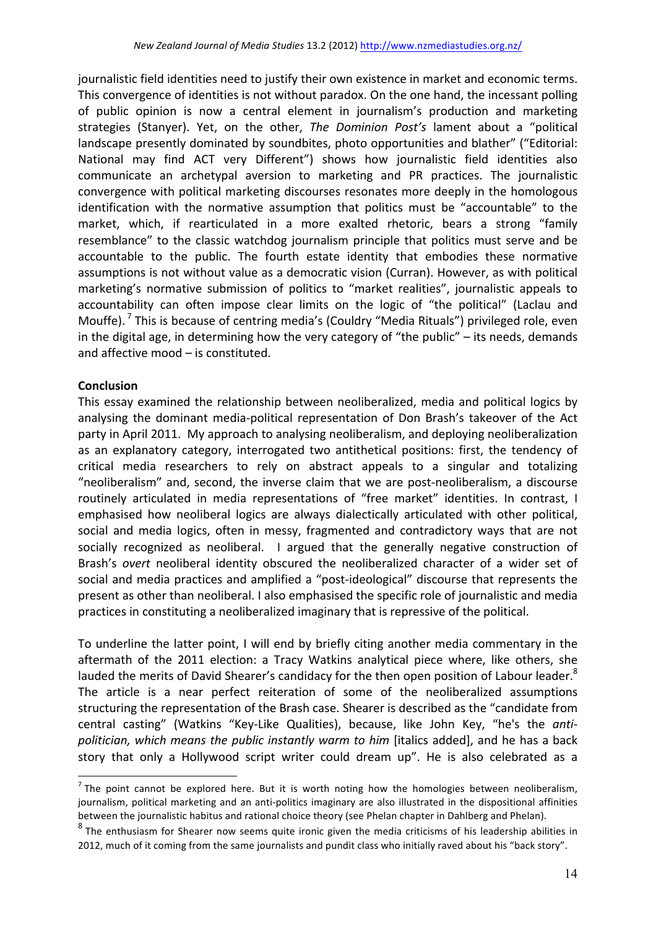journalistic field identities need to justify their own existence in market and economic terms. This convergence of identities is not without paradox. On the one hand, the incessant polling of public opinion is now a central element in journalism's production and marketing strategies (Stanyer). Yet, on the other, The Dominion Post's lament about a "political landscape presently dominated by soundbites, photo opportunities and blather" ("Editorial: National may find ACT very Different") shows how journalistic field identities also communicate an archetypal aversion to marketing and PR practices. The journalistic convergence with political marketing discourses resonates more deeply in the homologous identification with the normative assumption that politics must be "accountable" to the market, which, if rearticulated in a more exalted rhetoric, bears a strong "family resemblance" to the classic watchdog journalism principle that politics must serve and be accountable to the public. The fourth estate identity that embodies these normative assumptions is not without value as a democratic vision (Curran). However, as with political marketing's normative submission of politics to "market realities", journalistic appeals to accountability can often impose clear limits on the logic of "the political" (Laclau and Mouffe).<sup>7</sup> This is because of centring media's (Couldry "Media Rituals") privileged role, even in the digital age, in determining how the very category of "the public"  $-$  its needs, demands and affective mood  $-$  is constituted.

## **Conclusion**

This essay examined the relationship between neoliberalized, media and political logics by analysing the dominant media-political representation of Don Brash's takeover of the Act party in April 2011. My approach to analysing neoliberalism, and deploying neoliberalization as an explanatory category, interrogated two antithetical positions: first, the tendency of critical media researchers to rely on abstract appeals to a singular and totalizing "neoliberalism" and, second, the inverse claim that we are post-neoliberalism, a discourse routinely articulated in media representations of "free market" identities. In contrast, I emphasised how neoliberal logics are always dialectically articulated with other political, social and media logics, often in messy, fragmented and contradictory ways that are not socially recognized as neoliberal. I argued that the generally negative construction of Brash's *overt* neoliberal identity obscured the neoliberalized character of a wider set of social and media practices and amplified a "post-ideological" discourse that represents the present as other than neoliberal. I also emphasised the specific role of journalistic and media practices in constituting a neoliberalized imaginary that is repressive of the political.

To underline the latter point, I will end by briefly citing another media commentary in the aftermath of the 2011 election: a Tracy Watkins analytical piece where, like others, she lauded the merits of David Shearer's candidacy for the then open position of Labour leader.<sup>8</sup> The article is a near perfect reiteration of some of the neoliberalized assumptions structuring the representation of the Brash case. Shearer is described as the "candidate from central casting" (Watkins "Key-Like Qualities), because, like John Key, "he's the antipolitician, which means the public instantly warm to him [italics added], and he has a back story that only a Hollywood script writer could dream up". He is also celebrated as a

 $<sup>7</sup>$  The point cannot be explored here. But it is worth noting how the homologies between neoliberalism,</sup> journalism, political marketing and an anti-politics imaginary are also illustrated in the dispositional affinities between the journalistic habitus and rational choice theory (see Phelan chapter in Dahlberg and Phelan).

 $8$  The enthusiasm for Shearer now seems quite ironic given the media criticisms of his leadership abilities in 2012, much of it coming from the same journalists and pundit class who initially raved about his "back story".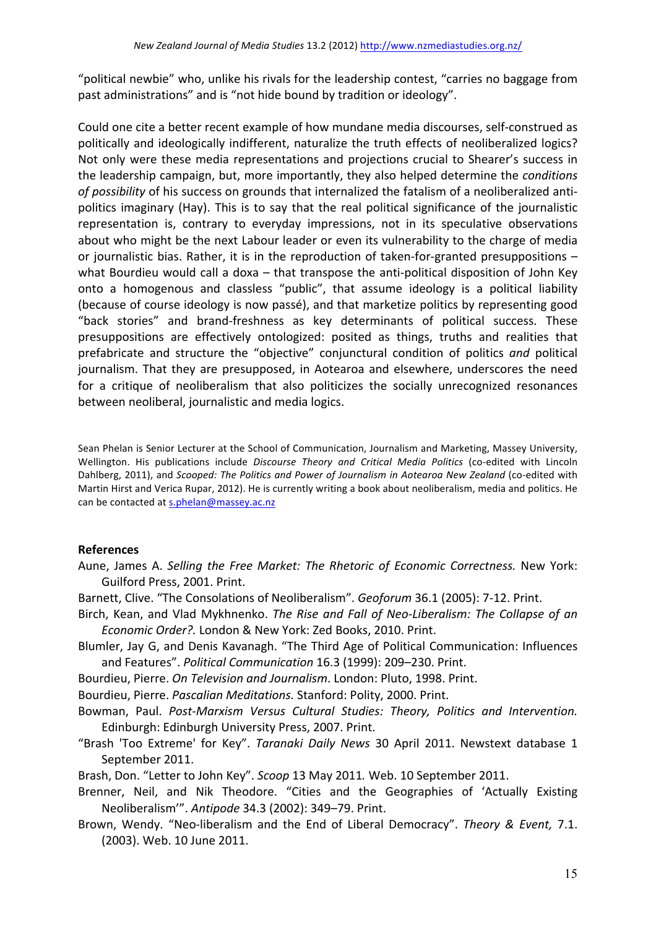"political newbie" who, unlike his rivals for the leadership contest, "carries no baggage from past administrations" and is "not hide bound by tradition or ideology".

Could one cite a better recent example of how mundane media discourses, self-construed as politically and ideologically indifferent, naturalize the truth effects of neoliberalized logics? Not only were these media representations and projections crucial to Shearer's success in the leadership campaign, but, more importantly, they also helped determine the *conditions* of possibility of his success on grounds that internalized the fatalism of a neoliberalized antipolitics imaginary (Hay). This is to say that the real political significance of the journalistic representation is, contrary to everyday impressions, not in its speculative observations about who might be the next Labour leader or even its vulnerability to the charge of media or journalistic bias. Rather, it is in the reproduction of taken-for-granted presuppositions  $$ what Bourdieu would call a doxa  $-$  that transpose the anti-political disposition of John Key onto a homogenous and classless "public", that assume ideology is a political liability (because of course ideology is now passé), and that marketize politics by representing good "back stories" and brand-freshness as key determinants of political success. These presuppositions are effectively ontologized: posited as things, truths and realities that prefabricate and structure the "objective" conjunctural condition of politics and political journalism. That they are presupposed, in Aotearoa and elsewhere, underscores the need for a critique of neoliberalism that also politicizes the socially unrecognized resonances between neoliberal, journalistic and media logics.

Sean Phelan is Senior Lecturer at the School of Communication, Journalism and Marketing, Massey University, Wellington. His publications include *Discourse Theory and Critical Media Politics* (co-edited with Lincoln Dahlberg, 2011), and *Scooped: The Politics and Power of Journalism in Aotearoa New Zealand* (co-edited with Martin Hirst and Verica Rupar, 2012). He is currently writing a book about neoliberalism, media and politics. He can be contacted at s.phelan@massey.ac.nz

# **References**

- Aune, James A. Selling the Free Market: The Rhetoric of Economic Correctness. New York: Guilford Press, 2001. Print.
- Barnett, Clive. "The Consolations of Neoliberalism". *Geoforum* 36.1 (2005): 7-12. Print.
- Birch, Kean, and Vlad Mykhnenko. *The Rise and Fall of Neo-Liberalism: The Collapse of an Economic Order?.* London & New York: Zed Books, 2010. Print.
- Blumler, Jay G, and Denis Kavanagh. "The Third Age of Political Communication: Influences and Features". Political Communication 16.3 (1999): 209-230. Print.
- Bourdieu, Pierre. On Television and Journalism. London: Pluto, 1998. Print.
- Bourdieu, Pierre. *Pascalian Meditations.* Stanford: Polity, 2000. Print.
- Bowman, Paul. Post-Marxism Versus Cultural Studies: Theory, Politics and Intervention. Edinburgh: Edinburgh University Press, 2007. Print.
- "Brash 'Too Extreme' for Key". *Taranaki Daily News* 30 April 2011. Newstext database 1 September 2011.

Brash, Don. "Letter to John Key". *Scoop* 13 May 2011. Web. 10 September 2011.

- Brenner, Neil, and Nik Theodore. "Cities and the Geographies of 'Actually Existing Neoliberalism". Antipode 34.3 (2002): 349-79. Print.
- Brown, Wendy. "Neo-liberalism and the End of Liberal Democracy". Theory & Event, 7.1. (2003). Web. 10 June 2011.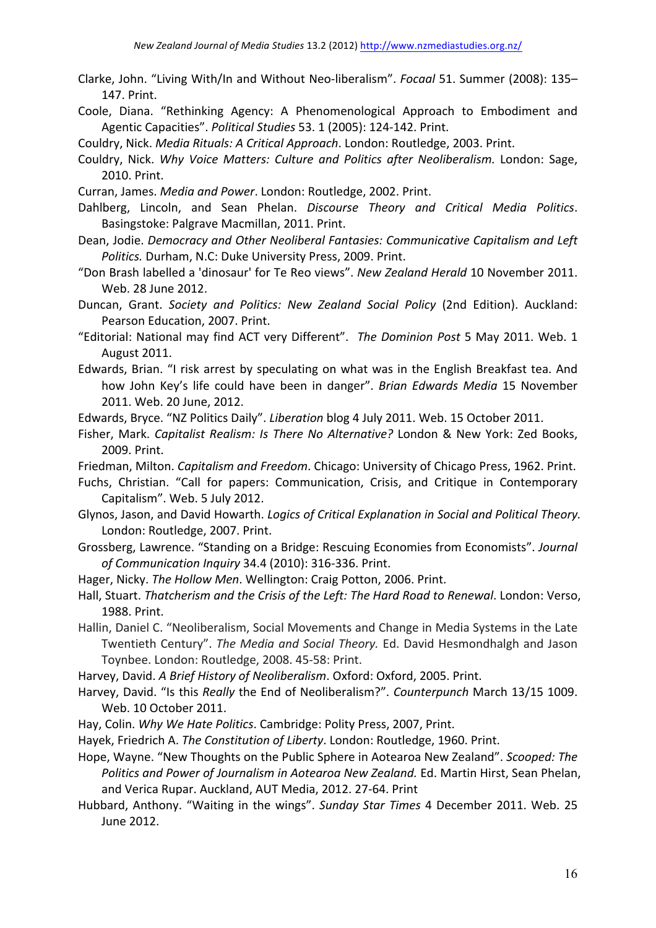- Clarke, John. "Living With/In and Without Neo-liberalism". *Focaal* 51. Summer (2008): 135– 147. Print.
- Coole, Diana. "Rethinking Agency: A Phenomenological Approach to Embodiment and Agentic Capacities". Political Studies 53. 1 (2005): 124-142. Print.
- Couldry, Nick. *Media Rituals: A Critical Approach*. London: Routledge, 2003. Print.
- Couldry, Nick. Why Voice Matters: Culture and Politics after Neoliberalism. London: Sage, 2010. Print.
- Curran, James. *Media and Power*. London: Routledge, 2002. Print.
- Dahlberg, Lincoln, and Sean Phelan. Discourse Theory and Critical Media Politics. Basingstoke: Palgrave Macmillan, 2011. Print.
- Dean, Jodie. *Democracy and Other Neoliberal Fantasies: Communicative Capitalism and Left Politics.* Durham, N.C: Duke University Press, 2009. Print.
- "Don Brash labelled a 'dinosaur' for Te Reo views". New Zealand Herald 10 November 2011. Web. 28 June 2012.
- Duncan, Grant. Society and Politics: New Zealand Social Policy (2nd Edition). Auckland: Pearson Education, 2007. Print.
- "Editorial: National may find ACT very Different". The Dominion Post 5 May 2011. Web. 1 August 2011.
- Edwards, Brian. "I risk arrest by speculating on what was in the English Breakfast tea. And how John Key's life could have been in danger". *Brian Edwards Media* 15 November 2011. Web. 20 June, 2012.
- Edwards, Bryce. "NZ Politics Daily". *Liberation* blog 4 July 2011. Web. 15 October 2011.
- Fisher, Mark. *Capitalist Realism: Is There No Alternative?* London & New York: Zed Books, 2009. Print.
- Friedman, Milton. *Capitalism and Freedom*. Chicago: University of Chicago Press, 1962. Print.
- Fuchs, Christian. "Call for papers: Communication, Crisis, and Critique in Contemporary Capitalism". Web. 5 July 2012.
- Glynos, Jason, and David Howarth. *Logics of Critical Explanation in Social and Political Theory.* London: Routledge, 2007. Print.
- Grossberg, Lawrence. "Standing on a Bridge: Rescuing Economies from Economists". *Journal of Communication Inquiry* 34.4 (2010): 316-336. Print.
- Hager, Nicky. The Hollow Men. Wellington: Craig Potton, 2006. Print.
- Hall, Stuart. *Thatcherism and the Crisis of the Left: The Hard Road to Renewal*. London: Verso, 1988. Print.
- Hallin, Daniel C. "Neoliberalism, Social Movements and Change in Media Systems in the Late Twentieth Century". The Media and Social Theory. Ed. David Hesmondhalgh and Jason Toynbee. London: Routledge, 2008. 45-58: Print.
- Harvey, David. A Brief History of Neoliberalism. Oxford: Oxford, 2005. Print.
- Harvey, David. "Is this *Really* the End of Neoliberalism?". *Counterpunch* March 13/15 1009. Web. 10 October 2011.
- Hay, Colin. Why We Hate Politics. Cambridge: Polity Press, 2007, Print.
- Hayek, Friedrich A. The Constitution of Liberty. London: Routledge, 1960. Print.
- Hope, Wayne. "New Thoughts on the Public Sphere in Aotearoa New Zealand". *Scooped: The* Politics and Power of Journalism in Aotearoa New Zealand. Ed. Martin Hirst, Sean Phelan, and Verica Rupar. Auckland, AUT Media, 2012. 27-64. Print
- Hubbard, Anthony. "Waiting in the wings". Sunday Star Times 4 December 2011. Web. 25 June 2012.